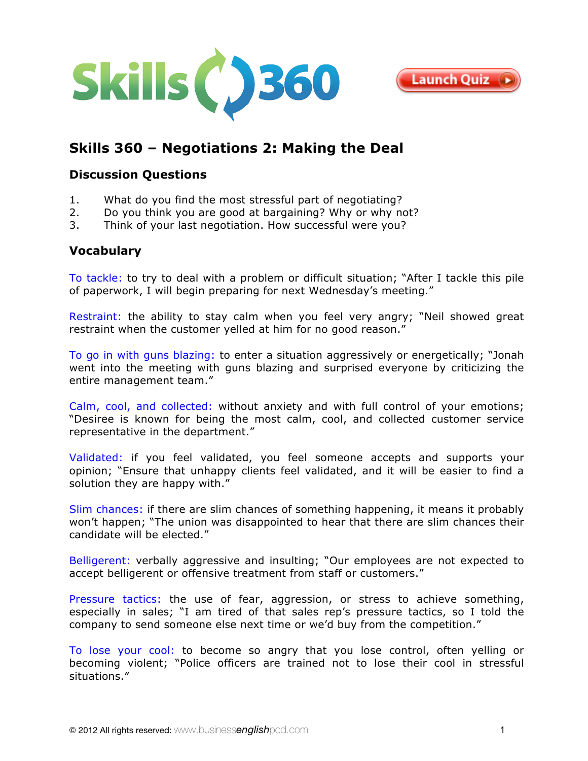



# **Skills 360 – [Negotiations 2: Making the Deal](http://www.businessenglishpod.com/2012/04/29/business-english-skills-360-negotiations-2-making-the-deal/)**

### **Discussion Questions**

- 1. What do you find the most stressful part of negotiating?
- 2. Do you think you are good at bargaining? Why or why not?
- 3. Think of your last negotiation. How successful were you?

## **Vocabulary**

To tackle: to try to deal with a problem or difficult situation; "After I tackle this pile of paperwork, I will begin preparing for next Wednesday's meeting."

Restraint: the ability to stay calm when you feel very angry; "Neil showed great restraint when the customer yelled at him for no good reason."

To go in with guns blazing: to enter a situation aggressively or energetically; "Jonah went into the meeting with guns blazing and surprised everyone by criticizing the entire management team."

Calm, cool, and collected: without anxiety and with full control of your emotions; "Desiree is known for being the most calm, cool, and collected customer service representative in the department."

Validated: if you feel validated, you feel someone accepts and supports your opinion; "Ensure that unhappy clients feel validated, and it will be easier to find a solution they are happy with."

Slim chances: if there are slim chances of something happening, it means it probably won't happen; "The union was disappointed to hear that there are slim chances their candidate will be elected."

Belligerent: verbally aggressive and insulting; "Our employees are not expected to accept belligerent or offensive treatment from staff or customers."

Pressure tactics: the use of fear, aggression, or stress to achieve something, especially in sales; "I am tired of that sales rep's pressure tactics, so I told the company to send someone else next time or we'd buy from the competition."

To lose your cool: to become so angry that you lose control, often yelling or becoming violent; "Police officers are trained not to lose their cool in stressful situations."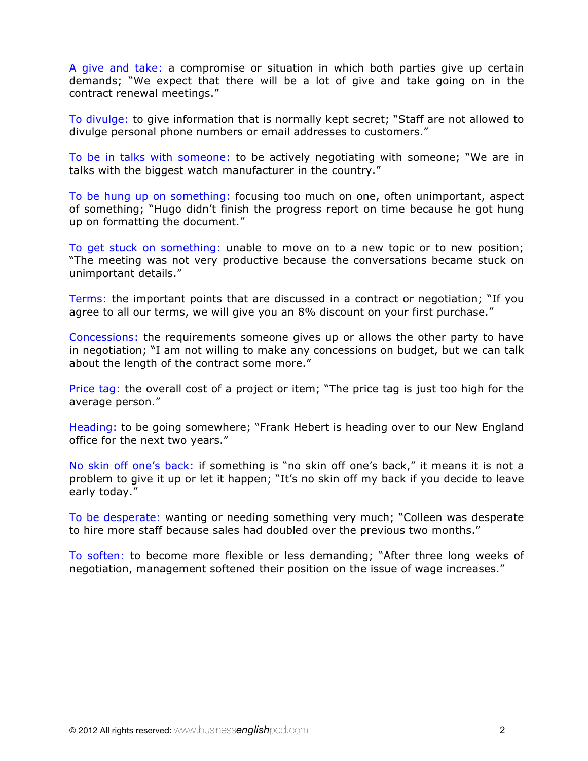A give and take: a compromise or situation in which both parties give up certain demands; "We expect that there will be a lot of give and take going on in the contract renewal meetings."

To divulge: to give information that is normally kept secret; "Staff are not allowed to divulge personal phone numbers or email addresses to customers."

To be in talks with someone: to be actively negotiating with someone; "We are in talks with the biggest watch manufacturer in the country."

To be hung up on something: focusing too much on one, often unimportant, aspect of something; "Hugo didn't finish the progress report on time because he got hung up on formatting the document."

To get stuck on something: unable to move on to a new topic or to new position; "The meeting was not very productive because the conversations became stuck on unimportant details."

Terms: the important points that are discussed in a contract or negotiation; "If you agree to all our terms, we will give you an 8% discount on your first purchase."

Concessions: the requirements someone gives up or allows the other party to have in negotiation; "I am not willing to make any concessions on budget, but we can talk about the length of the contract some more."

Price tag: the overall cost of a project or item; "The price tag is just too high for the average person."

Heading: to be going somewhere; "Frank Hebert is heading over to our New England office for the next two years."

No skin off one's back: if something is "no skin off one's back," it means it is not a problem to give it up or let it happen; "It's no skin off my back if you decide to leave early today."

To be desperate: wanting or needing something very much; "Colleen was desperate to hire more staff because sales had doubled over the previous two months."

To soften: to become more flexible or less demanding; "After three long weeks of negotiation, management softened their position on the issue of wage increases."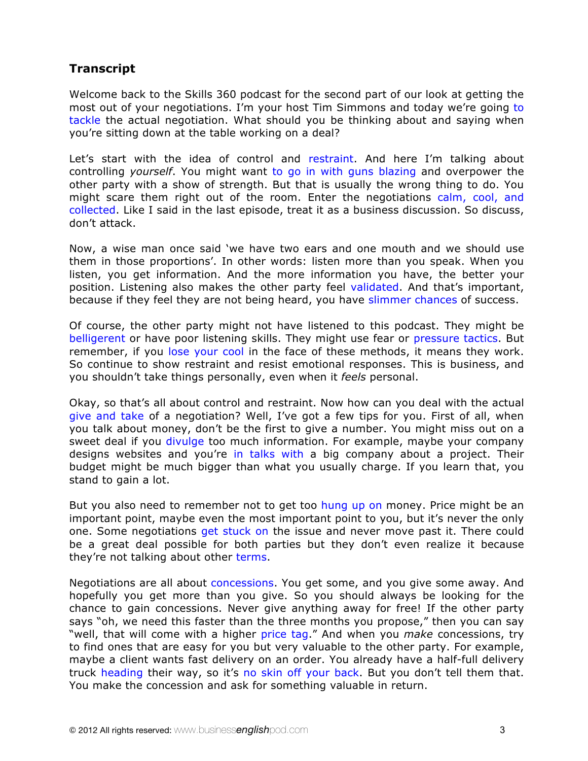## **Transcript**

Welcome back to the Skills 360 podcast for the second part of our look at getting the most out of your negotiations. I'm your host Tim Simmons and today we're going to tackle the actual negotiation. What should you be thinking about and saying when you're sitting down at the table working on a deal?

Let's start with the idea of control and restraint. And here I'm talking about controlling *yourself*. You might want to go in with guns blazing and overpower the other party with a show of strength. But that is usually the wrong thing to do. You might scare them right out of the room. Enter the negotiations calm, cool, and collected. Like I said in the last episode, treat it as a business discussion. So discuss, don't attack.

Now, a wise man once said 'we have two ears and one mouth and we should use them in those proportions'. In other words: listen more than you speak. When you listen, you get information. And the more information you have, the better your position. Listening also makes the other party feel validated. And that's important, because if they feel they are not being heard, you have slimmer chances of success.

Of course, the other party might not have listened to this podcast. They might be belligerent or have poor listening skills. They might use fear or pressure tactics. But remember, if you lose your cool in the face of these methods, it means they work. So continue to show restraint and resist emotional responses. This is business, and you shouldn't take things personally, even when it *feels* personal.

Okay, so that's all about control and restraint. Now how can you deal with the actual give and take of a negotiation? Well, I've got a few tips for you. First of all, when you talk about money, don't be the first to give a number. You might miss out on a sweet deal if you divulge too much information. For example, maybe your company designs websites and you're in talks with a big company about a project. Their budget might be much bigger than what you usually charge. If you learn that, you stand to gain a lot.

But you also need to remember not to get too hung up on money. Price might be an important point, maybe even the most important point to you, but it's never the only one. Some negotiations get stuck on the issue and never move past it. There could be a great deal possible for both parties but they don't even realize it because they're not talking about other terms.

Negotiations are all about concessions. You get some, and you give some away. And hopefully you get more than you give. So you should always be looking for the chance to gain concessions. Never give anything away for free! If the other party says "oh, we need this faster than the three months you propose," then you can say "well, that will come with a higher price tag." And when you *make* concessions, try to find ones that are easy for you but very valuable to the other party. For example, maybe a client wants fast delivery on an order. You already have a half-full delivery truck heading their way, so it's no skin off your back. But you don't tell them that. You make the concession and ask for something valuable in return.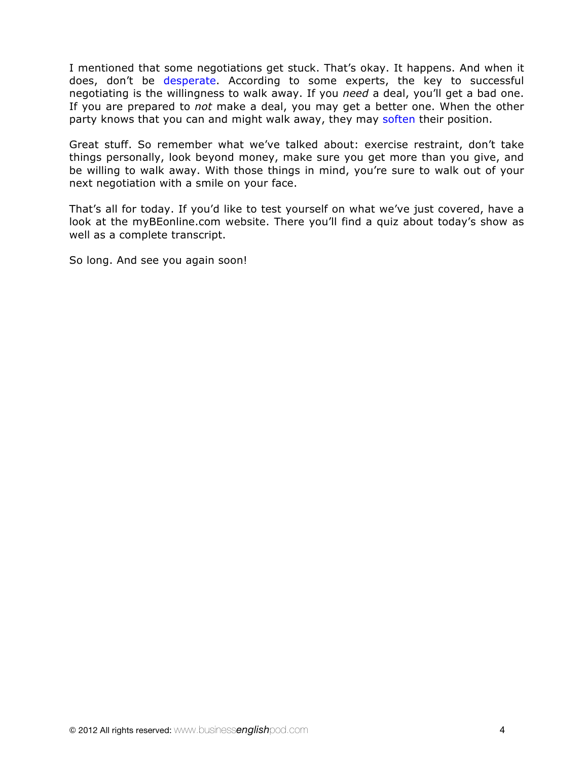I mentioned that some negotiations get stuck. That's okay. It happens. And when it does, don't be desperate. According to some experts, the key to successful negotiating is the willingness to walk away. If you *need* a deal, you'll get a bad one. If you are prepared to *not* make a deal, you may get a better one. When the other party knows that you can and might walk away, they may soften their position.

Great stuff. So remember what we've talked about: exercise restraint, don't take things personally, look beyond money, make sure you get more than you give, and be willing to walk away. With those things in mind, you're sure to walk out of your next negotiation with a smile on your face.

That's all for today. If you'd like to test yourself on what we've just covered, have a look at the [myBEonline.com website](http://mybeonline.com/blog/category/business-english-skills-360/). There you'll find a quiz about today's show as well as a complete transcript.

So long. And see you again soon!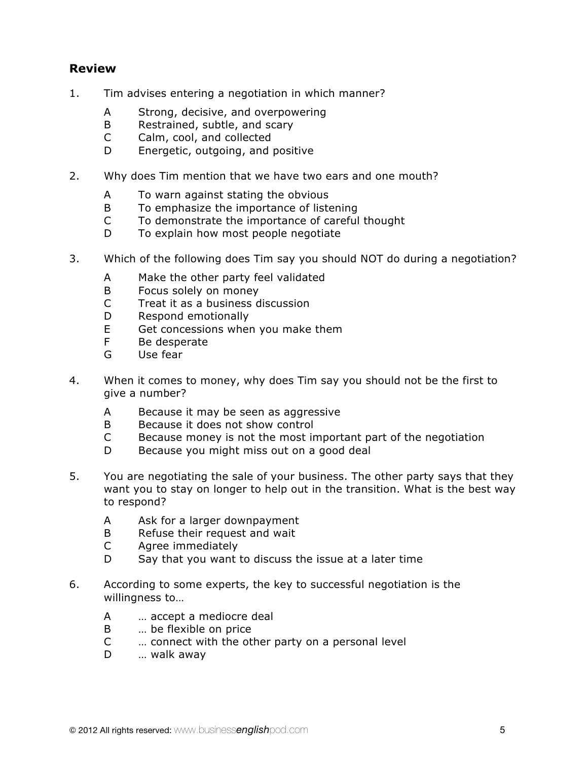## **Review**

- 1. Tim advises entering a negotiation in which manner?
	- A Strong, decisive, and overpowering
	- B Restrained, subtle, and scary
	- C Calm, cool, and collected
	- D Energetic, outgoing, and positive
- 2. Why does Tim mention that we have two ears and one mouth?
	- A To warn against stating the obvious
	- B To emphasize the importance of listening
	- C To demonstrate the importance of careful thought
	- D To explain how most people negotiate
- 3. Which of the following does Tim say you should NOT do during a negotiation?
	- A Make the other party feel validated
	- B Focus solely on money
	- C Treat it as a business discussion
	- D Respond emotionally
	- E Get concessions when you make them
	- F Be desperate
	- G Use fear
- 4. When it comes to money, why does Tim say you should not be the first to give a number?
	- A Because it may be seen as aggressive
	- B Because it does not show control
	- C Because money is not the most important part of the negotiation
	- D Because you might miss out on a good deal
- 5. You are negotiating the sale of your business. The other party says that they want you to stay on longer to help out in the transition. What is the best way to respond?
	- A Ask for a larger downpayment
	- B Refuse their request and wait
	- C Agree immediately
	- D Say that you want to discuss the issue at a later time
- 6. According to some experts, the key to successful negotiation is the willingness to…
	- A … accept a mediocre deal
	- B … be flexible on price
	- C … connect with the other party on a personal level
	- D ... walk away